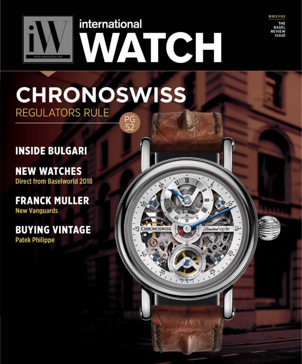

**HRONOSWISS** 

# CHRONOSWISS **REGULATORS RULE** PG<br>52

## **INSIDE BULGARI**

**NEW WATCHES Direct from Baselworld 2018** 

**FRANCK MULLER New Vanguards** 

**BUYING VINTAGE Patek Philippe**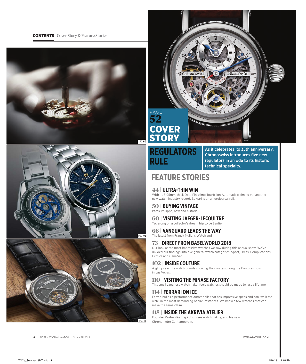





### **REGULATORS RULE**

As it celebrates its 35th anniversary, Chronoswiss introduces five new regulators in an ode to its historic technical specialty.

### **FEATURE STORIES**

#### **44** | **ULTRA-THIN WIN**

With its 3.95mm-thick Octo Finissimo Tourbillon Automatic claiming yet another new watch industry record, Bulgari is on a horological roll.

#### **50** | **BUYING VINTAGE**

Patek Philippe, new and historic.

#### **60** | **VISITING JAEGER-LECOULTRE**

Tag along on a collector's dream trip to Le Sentier.

#### **66** | **VANGUARD LEADS THE WAY**

The latest from Franck Muller's Watchland

#### **73** | **DIRECT FROM BASELWORLD 2018**

Our look at the most impressive watches we saw during this annual show. We've divided our findings into five general watch categories: Sport, Dress, Complications, Exotics and Gem-Set.

#### **102** | **INSIDE COUTURE**

A glimpse at the watch brands showing their wares during the Couture show in Las Vegas.

#### **110** | **VISITING THE MINASE FACTORY**

This small Japanese watchmaker feels watches should be made to last a lifetime.

#### **114** | **FERRARI ON ICE**

Ferrari builds a performance automobile that has impressive specs and can 'walk the walk' in the most demanding of circumstances. We know a few watches that can make the same claim.

#### **118** | **INSIDE THE AKRIVIA ATELIER**

Founder Rexhep Rexhepi discusses watchmaking and his new Chronometre Contemporain.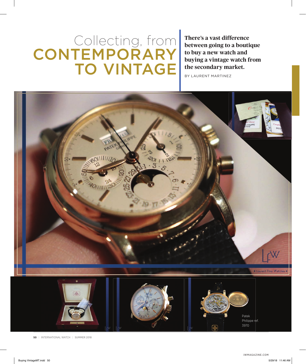# Collecting, from **CONTEMPORARY** TO VINTAGE

**There's a vast difference between going to a boutique to buy a new watch and buying a vintage watch from the secondary market.** 

BY LAURENT MARTINEZ